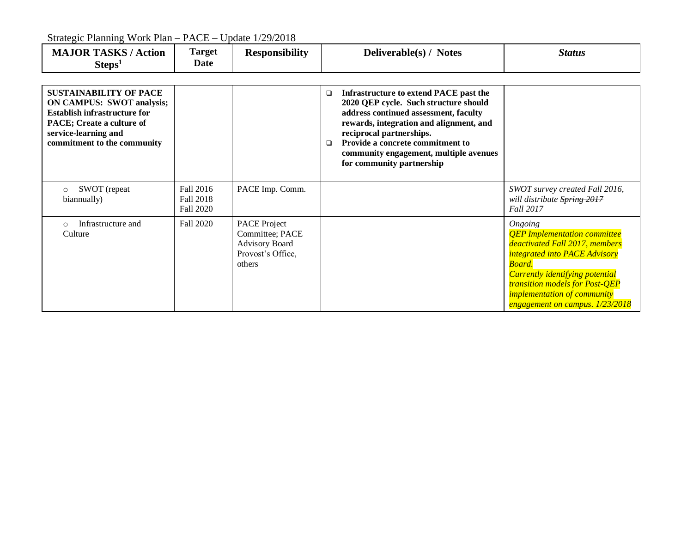$\mathcal{S}$ . Planning Work Planning PACE – Update 1/20/2019

| Strategic Planning Work Plan – PACE – Update 1/29/2018                                                                                                                                       |                                            |                                                                                                |                                                                                                                                                                                                                                                                                                                                |                                                                                                                                                                                                                                                                                                      |  |  |  |
|----------------------------------------------------------------------------------------------------------------------------------------------------------------------------------------------|--------------------------------------------|------------------------------------------------------------------------------------------------|--------------------------------------------------------------------------------------------------------------------------------------------------------------------------------------------------------------------------------------------------------------------------------------------------------------------------------|------------------------------------------------------------------------------------------------------------------------------------------------------------------------------------------------------------------------------------------------------------------------------------------------------|--|--|--|
| <b>MAJOR TASKS / Action</b><br>Steps <sup>1</sup>                                                                                                                                            | Target<br>Date                             | <b>Responsibility</b>                                                                          | Deliverable(s) / Notes                                                                                                                                                                                                                                                                                                         | <b>Status</b>                                                                                                                                                                                                                                                                                        |  |  |  |
| <b>SUSTAINABILITY OF PACE</b><br><b>ON CAMPUS: SWOT analysis;</b><br><b>Establish infrastructure for</b><br>PACE; Create a culture of<br>service-learning and<br>commitment to the community |                                            |                                                                                                | Infrastructure to extend PACE past the<br>$\Box$<br>2020 QEP cycle. Such structure should<br>address continued assessment, faculty<br>rewards, integration and alignment, and<br>reciprocal partnerships.<br>Provide a concrete commitment to<br>$\Box$<br>community engagement, multiple avenues<br>for community partnership |                                                                                                                                                                                                                                                                                                      |  |  |  |
| SWOT (repeat<br>$\circ$<br>biannually)                                                                                                                                                       | Fall 2016<br>Fall 2018<br><b>Fall 2020</b> | PACE Imp. Comm.                                                                                |                                                                                                                                                                                                                                                                                                                                | SWOT survey created Fall 2016,<br>will distribute Spring 2017<br>Fall 2017                                                                                                                                                                                                                           |  |  |  |
| Infrastructure and<br>$\circ$<br>Culture                                                                                                                                                     | <b>Fall 2020</b>                           | <b>PACE Project</b><br>Committee; PACE<br><b>Advisory Board</b><br>Provost's Office,<br>others |                                                                                                                                                                                                                                                                                                                                | Ongoing<br><b>QEP</b> Implementation committee<br>deactivated Fall 2017, members<br><i>integrated into PACE Advisory</i><br><b>Board</b><br><b>Currently identifying potential</b><br><b>transition models for Post-QEP</b><br><i>implementation of community</i><br>engagement on campus. 1/23/2018 |  |  |  |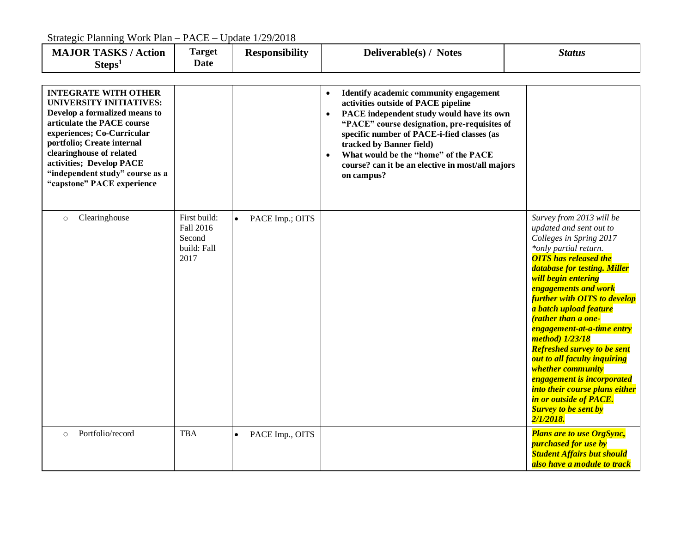Strategic Planning Work Plan – PACE – Update 1/29/2018

| <b>MAJOR TASKS / Action</b><br>Steps <sup>1</sup>                                                                                                                                                                                                                                                                 | <b>Target</b><br><b>Date</b>                               | <b>Responsibility</b>        | Deliverable(s) / Notes                                                                                                                                                                                                                                                                                                                                                                   | <b>Status</b>                                                                                                                                                                                                                                                                                                                                                                                                                                                                                                                                                                                                                |
|-------------------------------------------------------------------------------------------------------------------------------------------------------------------------------------------------------------------------------------------------------------------------------------------------------------------|------------------------------------------------------------|------------------------------|------------------------------------------------------------------------------------------------------------------------------------------------------------------------------------------------------------------------------------------------------------------------------------------------------------------------------------------------------------------------------------------|------------------------------------------------------------------------------------------------------------------------------------------------------------------------------------------------------------------------------------------------------------------------------------------------------------------------------------------------------------------------------------------------------------------------------------------------------------------------------------------------------------------------------------------------------------------------------------------------------------------------------|
| <b>INTEGRATE WITH OTHER</b><br><b>UNIVERSITY INITIATIVES:</b><br>Develop a formalized means to<br>articulate the PACE course<br>experiences; Co-Curricular<br>portfolio; Create internal<br>clearinghouse of related<br>activities; Develop PACE<br>"independent study" course as a<br>"capstone" PACE experience |                                                            |                              | Identify academic community engagement<br>activities outside of PACE pipeline<br>PACE independent study would have its own<br>$\bullet$<br>"PACE" course designation, pre-requisites of<br>specific number of PACE-i-fied classes (as<br>tracked by Banner field)<br>What would be the "home" of the PACE<br>$\bullet$<br>course? can it be an elective in most/all majors<br>on campus? |                                                                                                                                                                                                                                                                                                                                                                                                                                                                                                                                                                                                                              |
| Clearinghouse<br>$\circ$                                                                                                                                                                                                                                                                                          | First build:<br>Fall 2016<br>Second<br>build: Fall<br>2017 | PACE Imp.; OITS              |                                                                                                                                                                                                                                                                                                                                                                                          | Survey from 2013 will be<br>updated and sent out to<br>Colleges in Spring 2017<br>*only partial return.<br><b>OITS</b> has released the<br>database for testing. Miller<br>will begin entering<br><b>engagements and work</b><br><b>further with OITS to develop</b><br>a batch upload feature<br><i><b>(rather than a one-</b></i><br>engagement-at-a-time entry<br>method) 1/23/18<br><b>Refreshed survey to be sent</b><br>out to all faculty inquiring<br>whether community<br><b>engagement is incorporated</b><br>into their course plans either<br>in or outside of PACE.<br><b>Survey to be sent by</b><br>2/1/2018. |
| Portfolio/record<br>$\circ$                                                                                                                                                                                                                                                                                       | <b>TBA</b>                                                 | PACE Imp., OITS<br>$\bullet$ |                                                                                                                                                                                                                                                                                                                                                                                          | <b>Plans are to use OrgSync,</b><br><b>purchased for use by</b><br><b>Student Affairs but should</b><br>also have a module to track                                                                                                                                                                                                                                                                                                                                                                                                                                                                                          |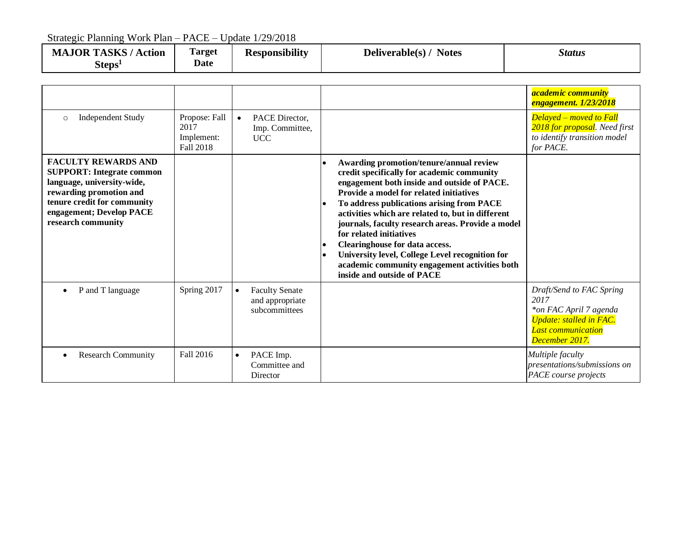Strategic Planning Work Plan – PACE – Update 1/29/2018

| <b>MAJOR TASKS/</b><br><b>Action</b><br>Steps <sup>1</sup> | $\mathbf{r}$<br>Target<br><b>Date</b> | <b>Responsibility</b> | Deliverable(s) $/$<br><b>Notes</b> | Status |
|------------------------------------------------------------|---------------------------------------|-----------------------|------------------------------------|--------|
|                                                            |                                       |                       |                                    |        |

|                                                                                                                                                                                                          |                                                  |           |                                                           |                                                                                                                                                                                                                                                                                                                                                                                                                                                                                                                                       | <i>academic community</i><br><b>engagement.</b> 1/23/2018                                                                                   |
|----------------------------------------------------------------------------------------------------------------------------------------------------------------------------------------------------------|--------------------------------------------------|-----------|-----------------------------------------------------------|---------------------------------------------------------------------------------------------------------------------------------------------------------------------------------------------------------------------------------------------------------------------------------------------------------------------------------------------------------------------------------------------------------------------------------------------------------------------------------------------------------------------------------------|---------------------------------------------------------------------------------------------------------------------------------------------|
| <b>Independent Study</b><br>$\circ$                                                                                                                                                                      | Propose: Fall<br>2017<br>Implement:<br>Fall 2018 | $\bullet$ | PACE Director,<br>Imp. Committee,<br><b>UCC</b>           |                                                                                                                                                                                                                                                                                                                                                                                                                                                                                                                                       | <b>Delayed - moved to Fall</b><br>2018 for proposal. Need first<br>to identify transition model<br>for PACE.                                |
| <b>FACULTY REWARDS AND</b><br><b>SUPPORT: Integrate common</b><br>language, university-wide,<br>rewarding promotion and<br>tenure credit for community<br>engagement; Develop PACE<br>research community |                                                  |           |                                                           | Awarding promotion/tenure/annual review<br>credit specifically for academic community<br>engagement both inside and outside of PACE.<br>Provide a model for related initiatives<br>To address publications arising from PACE<br>activities which are related to, but in different<br>journals, faculty research areas. Provide a model<br>for related initiatives<br>Clearinghouse for data access.<br>University level, College Level recognition for<br>academic community engagement activities both<br>inside and outside of PACE |                                                                                                                                             |
| P and T language                                                                                                                                                                                         | Spring 2017                                      | $\bullet$ | <b>Faculty Senate</b><br>and appropriate<br>subcommittees |                                                                                                                                                                                                                                                                                                                                                                                                                                                                                                                                       | Draft/Send to FAC Spring<br>2017<br>*on FAC April 7 agenda<br><b>Update: stalled in FAC.</b><br><b>Last communication</b><br>December 2017. |
| <b>Research Community</b>                                                                                                                                                                                | Fall 2016                                        | $\bullet$ | PACE Imp.<br>Committee and<br>Director                    |                                                                                                                                                                                                                                                                                                                                                                                                                                                                                                                                       | Multiple faculty<br>presentations/submissions on<br>PACE course projects                                                                    |